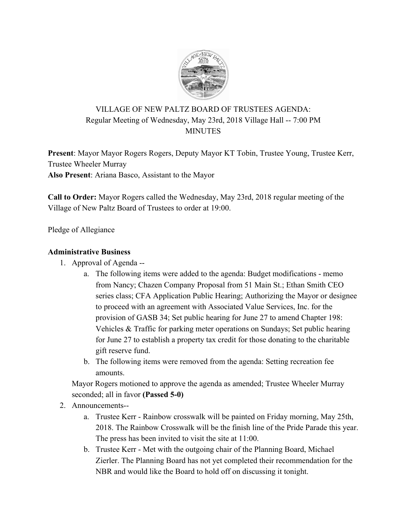

# VILLAGE OF NEW PALTZ BOARD OF TRUSTEES AGENDA: Regular Meeting of Wednesday, May 23rd, 2018 Village Hall -- 7:00 PM MINUTES

**Present**: Mayor Mayor Rogers Rogers, Deputy Mayor KT Tobin, Trustee Young, Trustee Kerr, Trustee Wheeler Murray **Also Present**: Ariana Basco, Assistant to the Mayor

**Call to Order:** Mayor Rogers called the Wednesday, May 23rd, 2018 regular meeting of the Village of New Paltz Board of Trustees to order at 19:00.

Pledge of Allegiance

#### **Administrative Business**

- 1. Approval of Agenda
	- a. The following items were added to the agenda: Budget modifications memo from Nancy; Chazen Company Proposal from 51 Main St.; Ethan Smith CEO series class; CFA Application Public Hearing; Authorizing the Mayor or designee to proceed with an agreement with Associated Value Services, Inc. for the provision of GASB 34; Set public hearing for June 27 to amend Chapter 198: Vehicles & Traffic for parking meter operations on Sundays; Set public hearing for June 27 to establish a property tax credit for those donating to the charitable gift reserve fund.
	- b. The following items were removed from the agenda: Setting recreation fee amounts.

Mayor Rogers motioned to approve the agenda as amended; Trustee Wheeler Murray seconded; all in favor **(Passed 5-0)**

- 2. Announcements-
	- a. Trustee Kerr Rainbow crosswalk will be painted on Friday morning, May 25th, 2018. The Rainbow Crosswalk will be the finish line of the Pride Parade this year. The press has been invited to visit the site at 11:00.
	- b. Trustee Kerr Met with the outgoing chair of the Planning Board, Michael Zierler. The Planning Board has not yet completed their recommendation for the NBR and would like the Board to hold off on discussing it tonight.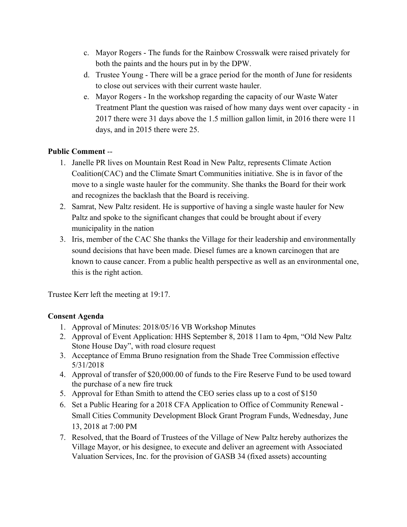- c. Mayor Rogers The funds for the Rainbow Crosswalk were raised privately for both the paints and the hours put in by the DPW.
- d. Trustee Young There will be a grace period for the month of June for residents to close out services with their current waste hauler.
- e. Mayor Rogers In the workshop regarding the capacity of our Waste Water Treatment Plant the question was raised of how many days went over capacity - in 2017 there were 31 days above the 1.5 million gallon limit, in 2016 there were 11 days, and in 2015 there were 25.

## **Public Comment** --

- 1. Janelle PR lives on Mountain Rest Road in New Paltz, represents Climate Action Coalition(CAC) and the Climate Smart Communities initiative. She is in favor of the move to a single waste hauler for the community. She thanks the Board for their work and recognizes the backlash that the Board is receiving.
- 2. Samrat, New Paltz resident. He is supportive of having a single waste hauler for New Paltz and spoke to the significant changes that could be brought about if every municipality in the nation
- 3. Iris, member of the CAC She thanks the Village for their leadership and environmentally sound decisions that have been made. Diesel fumes are a known carcinogen that are known to cause cancer. From a public health perspective as well as an environmental one, this is the right action.

Trustee Kerr left the meeting at 19:17.

### **Consent Agenda**

- 1. Approval of Minutes: 2018/05/16 VB Workshop Minutes
- 2. Approval of Event Application: HHS September 8, 2018 11am to 4pm, "Old New Paltz Stone House Day", with road closure request
- 3. Acceptance of Emma Bruno resignation from the Shade Tree Commission effective 5/31/2018
- 4. Approval of transfer of \$20,000.00 of funds to the Fire Reserve Fund to be used toward the purchase of a new fire truck
- 5. Approval for Ethan Smith to attend the CEO series class up to a cost of \$150
- 6. Set a Public Hearing for a 2018 CFA Application to Office of Community Renewal Small Cities Community Development Block Grant Program Funds, Wednesday, June 13, 2018 at 7:00 PM
- 7. Resolved, that the Board of Trustees of the Village of New Paltz hereby authorizes the Village Mayor, or his designee, to execute and deliver an agreement with Associated Valuation Services, Inc. for the provision of GASB 34 (fixed assets) accounting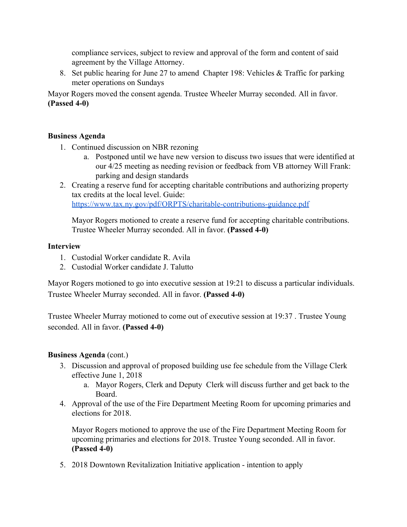compliance services, subject to review and approval of the form and content of said agreement by the Village Attorney.

8. Set public hearing for June 27 to amend Chapter 198: Vehicles & Traffic for parking meter operations on Sundays

Mayor Rogers moved the consent agenda. Trustee Wheeler Murray seconded. All in favor. **(Passed 4-0)**

#### **Business Agenda**

- 1. Continued discussion on NBR rezoning
	- a. Postponed until we have new version to discuss two issues that were identified at our 4/25 meeting as needing revision or feedback from VB attorney Will Frank: parking and design standards
- 2. Creating a reserve fund for accepting charitable contributions and authorizing property tax credits at the local level. Guide: <https://www.tax.ny.gov/pdf/ORPTS/charitable-contributions-guidance.pdf>

Mayor Rogers motioned to create a reserve fund for accepting charitable contributions. Trustee Wheeler Murray seconded. All in favor. **(Passed 4-0)**

#### **Interview**

- 1. Custodial Worker candidate R. Avila
- 2. Custodial Worker candidate J. Talutto

Mayor Rogers motioned to go into executive session at 19:21 to discuss a particular individuals. Trustee Wheeler Murray seconded. All in favor. **(Passed 4-0)**

Trustee Wheeler Murray motioned to come out of executive session at 19:37 . Trustee Young seconded. All in favor. **(Passed 4-0)**

### **Business Agenda** (cont.)

- 3. Discussion and approval of proposed building use fee schedule from the Village Clerk effective June 1, 2018
	- a. Mayor Rogers, Clerk and Deputy Clerk will discuss further and get back to the Board.
- 4. Approval of the use of the Fire Department Meeting Room for upcoming primaries and elections for 2018.

Mayor Rogers motioned to approve the use of the Fire Department Meeting Room for upcoming primaries and elections for 2018. Trustee Young seconded. All in favor. **(Passed 4-0)**

5. 2018 Downtown Revitalization Initiative application - intention to apply